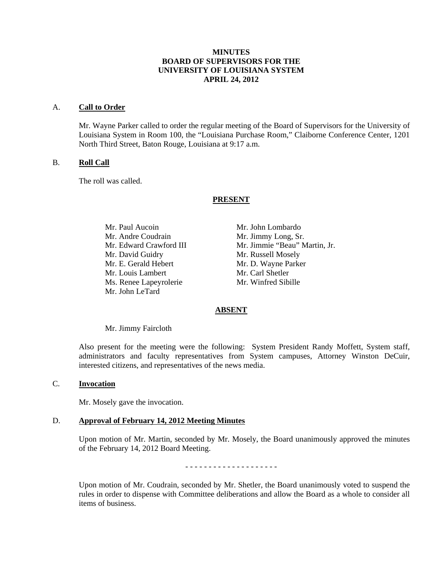# **MINUTES BOARD OF SUPERVISORS FOR THE UNIVERSITY OF LOUISIANA SYSTEM APRIL 24, 2012**

#### A. **Call to Order**

Mr. Wayne Parker called to order the regular meeting of the Board of Supervisors for the University of Louisiana System in Room 100, the "Louisiana Purchase Room," Claiborne Conference Center, 1201 North Third Street, Baton Rouge, Louisiana at 9:17 a.m.

#### B. **Roll Call**

The roll was called.

#### **PRESENT**

Mr. Paul Aucoin Mr. John Lombardo Mr. Andre Coudrain Mr. Jimmy Long, Sr. Mr. David Guidry Mr. Russell Mosely Mr. E. Gerald Hebert Mr. D. Wayne Parker Mr. Louis Lambert Mr. Carl Shetler Ms. Renee Lapeyrolerie Mr. Winfred Sibille Mr. John LeTard

Mr. Edward Crawford III Mr. Jimmie "Beau" Martin, Jr.

#### **ABSENT**

Mr. Jimmy Faircloth

Also present for the meeting were the following: System President Randy Moffett, System staff, administrators and faculty representatives from System campuses, Attorney Winston DeCuir, interested citizens, and representatives of the news media.

#### C. **Invocation**

Mr. Mosely gave the invocation.

## D. **Approval of February 14, 2012 Meeting Minutes**

Upon motion of Mr. Martin, seconded by Mr. Mosely, the Board unanimously approved the minutes of the February 14, 2012 Board Meeting.

- - - - - - - - - - - - - - - - - - - -

Upon motion of Mr. Coudrain, seconded by Mr. Shetler, the Board unanimously voted to suspend the rules in order to dispense with Committee deliberations and allow the Board as a whole to consider all items of business.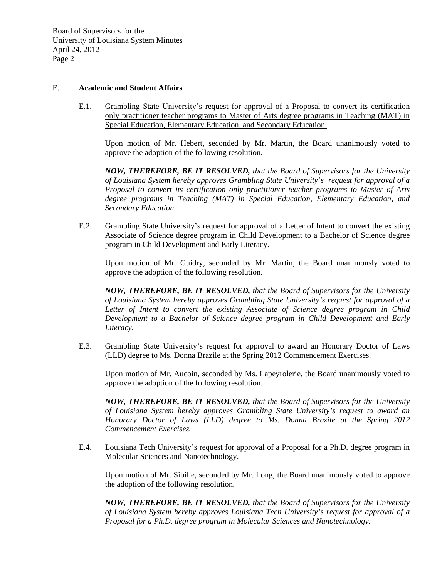# E. **Academic and Student Affairs**

E.1. Grambling State University's request for approval of a Proposal to convert its certification only practitioner teacher programs to Master of Arts degree programs in Teaching (MAT) in Special Education, Elementary Education, and Secondary Education.

Upon motion of Mr. Hebert, seconded by Mr. Martin, the Board unanimously voted to approve the adoption of the following resolution.

 *NOW, THEREFORE, BE IT RESOLVED, that the Board of Supervisors for the University of Louisiana System hereby approves Grambling State University's request for approval of a Proposal to convert its certification only practitioner teacher programs to Master of Arts degree programs in Teaching (MAT) in Special Education, Elementary Education, and Secondary Education.* 

E.2. Grambling State University's request for approval of a Letter of Intent to convert the existing Associate of Science degree program in Child Development to a Bachelor of Science degree program in Child Development and Early Literacy.

Upon motion of Mr. Guidry, seconded by Mr. Martin, the Board unanimously voted to approve the adoption of the following resolution.

 *NOW, THEREFORE, BE IT RESOLVED, that the Board of Supervisors for the University of Louisiana System hereby approves Grambling State University's request for approval of a Letter of Intent to convert the existing Associate of Science degree program in Child Development to a Bachelor of Science degree program in Child Development and Early Literacy.* 

E.3. Grambling State University's request for approval to award an Honorary Doctor of Laws (LLD) degree to Ms. Donna Brazile at the Spring 2012 Commencement Exercises.

Upon motion of Mr. Aucoin, seconded by Ms. Lapeyrolerie, the Board unanimously voted to approve the adoption of the following resolution.

 *NOW, THEREFORE, BE IT RESOLVED, that the Board of Supervisors for the University of Louisiana System hereby approves Grambling State University's request to award an Honorary Doctor of Laws (LLD) degree to Ms. Donna Brazile at the Spring 2012 Commencement Exercises.* 

E.4. Louisiana Tech University's request for approval of a Proposal for a Ph.D. degree program in Molecular Sciences and Nanotechnology.

Upon motion of Mr. Sibille, seconded by Mr. Long, the Board unanimously voted to approve the adoption of the following resolution.

 *NOW, THEREFORE, BE IT RESOLVED, that the Board of Supervisors for the University of Louisiana System hereby approves Louisiana Tech University's request for approval of a Proposal for a Ph.D. degree program in Molecular Sciences and Nanotechnology.*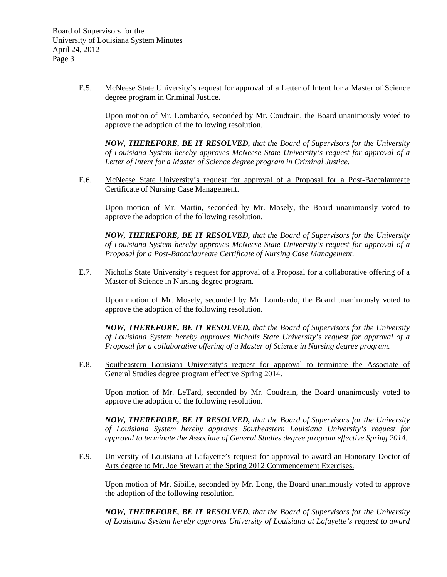E.5. McNeese State University's request for approval of a Letter of Intent for a Master of Science degree program in Criminal Justice.

Upon motion of Mr. Lombardo, seconded by Mr. Coudrain, the Board unanimously voted to approve the adoption of the following resolution.

 *NOW, THEREFORE, BE IT RESOLVED, that the Board of Supervisors for the University of Louisiana System hereby approves McNeese State University's request for approval of a Letter of Intent for a Master of Science degree program in Criminal Justice.* 

E.6. McNeese State University's request for approval of a Proposal for a Post-Baccalaureate Certificate of Nursing Case Management.

Upon motion of Mr. Martin, seconded by Mr. Mosely, the Board unanimously voted to approve the adoption of the following resolution.

 *NOW, THEREFORE, BE IT RESOLVED, that the Board of Supervisors for the University of Louisiana System hereby approves McNeese State University's request for approval of a Proposal for a Post-Baccalaureate Certificate of Nursing Case Management.* 

E.7. Nicholls State University's request for approval of a Proposal for a collaborative offering of a Master of Science in Nursing degree program.

Upon motion of Mr. Mosely, seconded by Mr. Lombardo, the Board unanimously voted to approve the adoption of the following resolution.

 *NOW, THEREFORE, BE IT RESOLVED, that the Board of Supervisors for the University of Louisiana System hereby approves Nicholls State University's request for approval of a Proposal for a collaborative offering of a Master of Science in Nursing degree program.* 

E.8. Southeastern Louisiana University's request for approval to terminate the Associate of General Studies degree program effective Spring 2014.

Upon motion of Mr. LeTard, seconded by Mr. Coudrain, the Board unanimously voted to approve the adoption of the following resolution.

 *NOW, THEREFORE, BE IT RESOLVED, that the Board of Supervisors for the University of Louisiana System hereby approves Southeastern Louisiana University's request for approval to terminate the Associate of General Studies degree program effective Spring 2014.* 

E.9. University of Louisiana at Lafayette's request for approval to award an Honorary Doctor of Arts degree to Mr. Joe Stewart at the Spring 2012 Commencement Exercises.

Upon motion of Mr. Sibille, seconded by Mr. Long, the Board unanimously voted to approve the adoption of the following resolution.

*NOW, THEREFORE, BE IT RESOLVED, that the Board of Supervisors for the University of Louisiana System hereby approves University of Louisiana at Lafayette's request to award*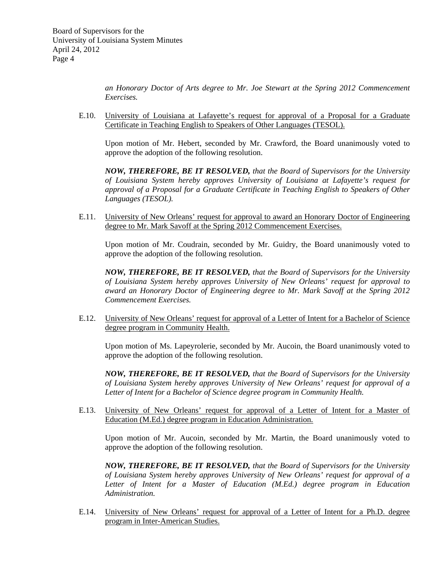*an Honorary Doctor of Arts degree to Mr. Joe Stewart at the Spring 2012 Commencement Exercises.* 

E.10. University of Louisiana at Lafayette's request for approval of a Proposal for a Graduate Certificate in Teaching English to Speakers of Other Languages (TESOL).

Upon motion of Mr. Hebert, seconded by Mr. Crawford, the Board unanimously voted to approve the adoption of the following resolution.

 *NOW, THEREFORE, BE IT RESOLVED, that the Board of Supervisors for the University of Louisiana System hereby approves University of Louisiana at Lafayette's request for approval of a Proposal for a Graduate Certificate in Teaching English to Speakers of Other Languages (TESOL).* 

E.11. University of New Orleans' request for approval to award an Honorary Doctor of Engineering degree to Mr. Mark Savoff at the Spring 2012 Commencement Exercises.

Upon motion of Mr. Coudrain, seconded by Mr. Guidry, the Board unanimously voted to approve the adoption of the following resolution.

 *NOW, THEREFORE, BE IT RESOLVED, that the Board of Supervisors for the University of Louisiana System hereby approves University of New Orleans' request for approval to award an Honorary Doctor of Engineering degree to Mr. Mark Savoff at the Spring 2012 Commencement Exercises.* 

E.12. University of New Orleans' request for approval of a Letter of Intent for a Bachelor of Science degree program in Community Health.

Upon motion of Ms. Lapeyrolerie, seconded by Mr. Aucoin, the Board unanimously voted to approve the adoption of the following resolution.

 *NOW, THEREFORE, BE IT RESOLVED, that the Board of Supervisors for the University of Louisiana System hereby approves University of New Orleans' request for approval of a Letter of Intent for a Bachelor of Science degree program in Community Health.* 

E.13. University of New Orleans' request for approval of a Letter of Intent for a Master of Education (M.Ed.) degree program in Education Administration.

Upon motion of Mr. Aucoin, seconded by Mr. Martin, the Board unanimously voted to approve the adoption of the following resolution.

 *NOW, THEREFORE, BE IT RESOLVED, that the Board of Supervisors for the University of Louisiana System hereby approves University of New Orleans' request for approval of a*  Letter of Intent for a Master of Education (M.Ed.) degree program in Education *Administration.* 

E.14. University of New Orleans' request for approval of a Letter of Intent for a Ph.D. degree program in Inter-American Studies.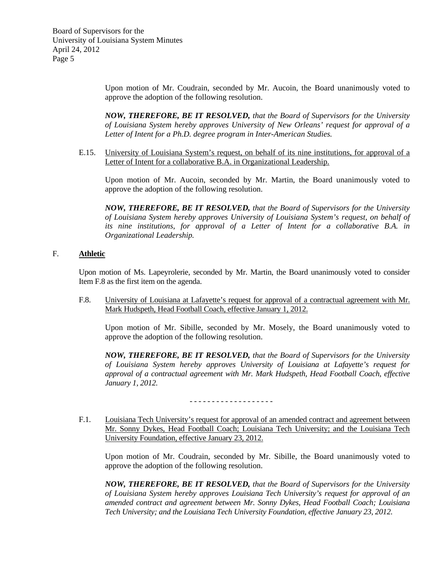> Upon motion of Mr. Coudrain, seconded by Mr. Aucoin, the Board unanimously voted to approve the adoption of the following resolution.

> *NOW, THEREFORE, BE IT RESOLVED, that the Board of Supervisors for the University of Louisiana System hereby approves University of New Orleans' request for approval of a Letter of Intent for a Ph.D. degree program in Inter-American Studies.*

E.15. University of Louisiana System's request, on behalf of its nine institutions, for approval of a Letter of Intent for a collaborative B.A. in Organizational Leadership.

Upon motion of Mr. Aucoin, seconded by Mr. Martin, the Board unanimously voted to approve the adoption of the following resolution.

 *NOW, THEREFORE, BE IT RESOLVED, that the Board of Supervisors for the University of Louisiana System hereby approves University of Louisiana System's request, on behalf of its nine institutions, for approval of a Letter of Intent for a collaborative B.A. in Organizational Leadership.* 

## F. **Athletic**

Upon motion of Ms. Lapeyrolerie, seconded by Mr. Martin, the Board unanimously voted to consider Item F.8 as the first item on the agenda.

F.8. University of Louisiana at Lafayette's request for approval of a contractual agreement with Mr. Mark Hudspeth, Head Football Coach, effective January 1, 2012.

Upon motion of Mr. Sibille, seconded by Mr. Mosely, the Board unanimously voted to approve the adoption of the following resolution.

*NOW, THEREFORE, BE IT RESOLVED, that the Board of Supervisors for the University of Louisiana System hereby approves University of Louisiana at Lafayette's request for approval of a contractual agreement with Mr. Mark Hudspeth, Head Football Coach, effective January 1, 2012.* 

- - - - - - - - - - - - - - - - - - -

F.1. Louisiana Tech University's request for approval of an amended contract and agreement between Mr. Sonny Dykes, Head Football Coach; Louisiana Tech University; and the Louisiana Tech University Foundation, effective January 23, 2012.

Upon motion of Mr. Coudrain, seconded by Mr. Sibille, the Board unanimously voted to approve the adoption of the following resolution.

*NOW, THEREFORE, BE IT RESOLVED, that the Board of Supervisors for the University of Louisiana System hereby approves Louisiana Tech University's request for approval of an amended contract and agreement between Mr. Sonny Dykes, Head Football Coach; Louisiana Tech University; and the Louisiana Tech University Foundation, effective January 23, 2012.*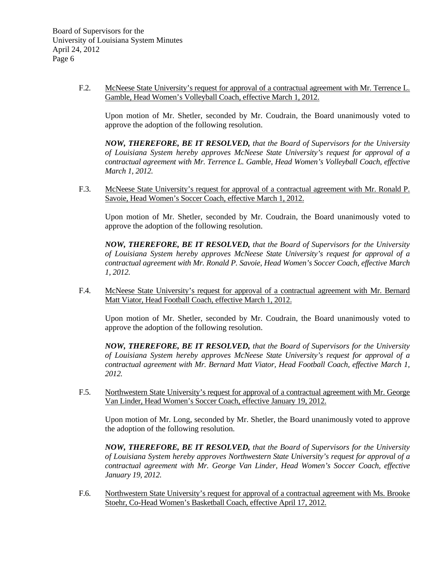F.2. McNeese State University's request for approval of a contractual agreement with Mr. Terrence L. Gamble, Head Women's Volleyball Coach, effective March 1, 2012.

Upon motion of Mr. Shetler, seconded by Mr. Coudrain, the Board unanimously voted to approve the adoption of the following resolution.

*NOW, THEREFORE, BE IT RESOLVED, that the Board of Supervisors for the University of Louisiana System hereby approves McNeese State University's request for approval of a contractual agreement with Mr. Terrence L. Gamble, Head Women's Volleyball Coach, effective March 1, 2012.* 

F.3. McNeese State University's request for approval of a contractual agreement with Mr. Ronald P. Savoie, Head Women's Soccer Coach, effective March 1, 2012.

Upon motion of Mr. Shetler, seconded by Mr. Coudrain, the Board unanimously voted to approve the adoption of the following resolution.

*NOW, THEREFORE, BE IT RESOLVED, that the Board of Supervisors for the University of Louisiana System hereby approves McNeese State University's request for approval of a contractual agreement with Mr. Ronald P. Savoie, Head Women's Soccer Coach, effective March 1, 2012.* 

F.4. McNeese State University's request for approval of a contractual agreement with Mr. Bernard Matt Viator, Head Football Coach, effective March 1, 2012.

Upon motion of Mr. Shetler, seconded by Mr. Coudrain, the Board unanimously voted to approve the adoption of the following resolution.

*NOW, THEREFORE, BE IT RESOLVED, that the Board of Supervisors for the University of Louisiana System hereby approves McNeese State University's request for approval of a contractual agreement with Mr. Bernard Matt Viator, Head Football Coach, effective March 1, 2012.* 

F.5. Northwestern State University's request for approval of a contractual agreement with Mr. George Van Linder, Head Women's Soccer Coach, effective January 19, 2012.

Upon motion of Mr. Long, seconded by Mr. Shetler, the Board unanimously voted to approve the adoption of the following resolution.

*NOW, THEREFORE, BE IT RESOLVED, that the Board of Supervisors for the University of Louisiana System hereby approves Northwestern State University's request for approval of a contractual agreement with Mr. George Van Linder, Head Women's Soccer Coach, effective January 19, 2012.* 

F.6. Northwestern State University's request for approval of a contractual agreement with Ms. Brooke Stoehr, Co-Head Women's Basketball Coach, effective April 17, 2012.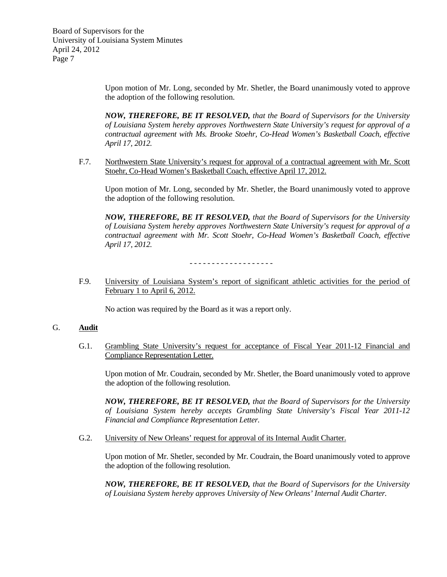> Upon motion of Mr. Long, seconded by Mr. Shetler, the Board unanimously voted to approve the adoption of the following resolution.

> *NOW, THEREFORE, BE IT RESOLVED, that the Board of Supervisors for the University of Louisiana System hereby approves Northwestern State University's request for approval of a contractual agreement with Ms. Brooke Stoehr, Co-Head Women's Basketball Coach, effective April 17, 2012.*

F.7. Northwestern State University's request for approval of a contractual agreement with Mr. Scott Stoehr, Co-Head Women's Basketball Coach, effective April 17, 2012.

Upon motion of Mr. Long, seconded by Mr. Shetler, the Board unanimously voted to approve the adoption of the following resolution.

 *NOW, THEREFORE, BE IT RESOLVED, that the Board of Supervisors for the University of Louisiana System hereby approves Northwestern State University's request for approval of a contractual agreement with Mr. Scott Stoehr, Co-Head Women's Basketball Coach, effective April 17, 2012.*

- - - - - - - - - - - - - - - - - - -

F.9. University of Louisiana System's report of significant athletic activities for the period of February 1 to April 6, 2012.

No action was required by the Board as it was a report only.

#### G. **Audit**

 G.1. Grambling State University's request for acceptance of Fiscal Year 2011-12 Financial and Compliance Representation Letter.

 Upon motion of Mr. Coudrain, seconded by Mr. Shetler, the Board unanimously voted to approve the adoption of the following resolution.

 *NOW, THEREFORE, BE IT RESOLVED, that the Board of Supervisors for the University of Louisiana System hereby accepts Grambling State University's Fiscal Year 2011-12 Financial and Compliance Representation Letter.* 

G.2. University of New Orleans' request for approval of its Internal Audit Charter.

 Upon motion of Mr. Shetler, seconded by Mr. Coudrain, the Board unanimously voted to approve the adoption of the following resolution.

 *NOW, THEREFORE, BE IT RESOLVED, that the Board of Supervisors for the University of Louisiana System hereby approves University of New Orleans' Internal Audit Charter.*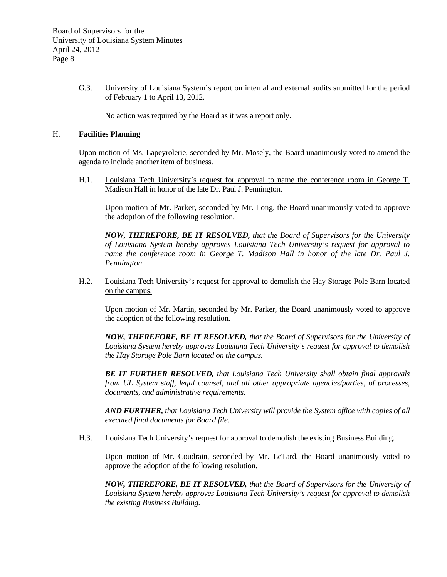## G.3. University of Louisiana System's report on internal and external audits submitted for the period of February 1 to April 13, 2012.

No action was required by the Board as it was a report only.

## H. **Facilities Planning**

Upon motion of Ms. Lapeyrolerie, seconded by Mr. Mosely, the Board unanimously voted to amend the agenda to include another item of business.

 H.1. Louisiana Tech University's request for approval to name the conference room in George T. Madison Hall in honor of the late Dr. Paul J. Pennington.

Upon motion of Mr. Parker, seconded by Mr. Long, the Board unanimously voted to approve the adoption of the following resolution.

*NOW, THEREFORE, BE IT RESOLVED, that the Board of Supervisors for the University of Louisiana System hereby approves Louisiana Tech University's request for approval to name the conference room in George T. Madison Hall in honor of the late Dr. Paul J. Pennington.* 

 H.2. Louisiana Tech University's request for approval to demolish the Hay Storage Pole Barn located on the campus.

 Upon motion of Mr. Martin, seconded by Mr. Parker, the Board unanimously voted to approve the adoption of the following resolution.

 *NOW, THEREFORE, BE IT RESOLVED, that the Board of Supervisors for the University of Louisiana System hereby approves Louisiana Tech University's request for approval to demolish the Hay Storage Pole Barn located on the campus.* 

 *BE IT FURTHER RESOLVED, that Louisiana Tech University shall obtain final approvals from UL System staff, legal counsel, and all other appropriate agencies/parties, of processes, documents, and administrative requirements.* 

 *AND FURTHER, that Louisiana Tech University will provide the System office with copies of all executed final documents for Board file.* 

H.3. Louisiana Tech University's request for approval to demolish the existing Business Building.

 Upon motion of Mr. Coudrain, seconded by Mr. LeTard, the Board unanimously voted to approve the adoption of the following resolution.

 *NOW, THEREFORE, BE IT RESOLVED, that the Board of Supervisors for the University of Louisiana System hereby approves Louisiana Tech University's request for approval to demolish the existing Business Building.*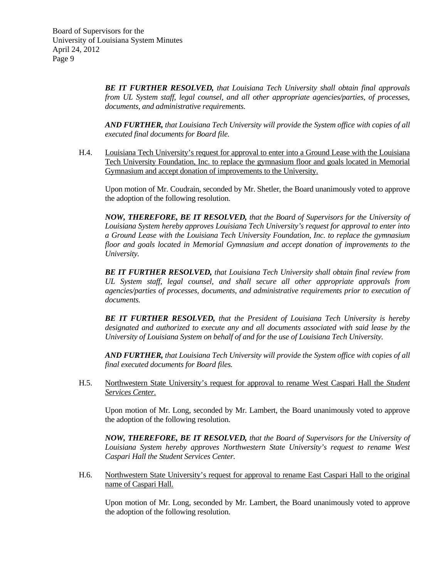*BE IT FURTHER RESOLVED, that Louisiana Tech University shall obtain final approvals from UL System staff, legal counsel, and all other appropriate agencies/parties, of processes, documents, and administrative requirements.* 

 *AND FURTHER, that Louisiana Tech University will provide the System office with copies of all executed final documents for Board file.* 

 H.4. Louisiana Tech University's request for approval to enter into a Ground Lease with the Louisiana Tech University Foundation, Inc. to replace the gymnasium floor and goals located in Memorial Gymnasium and accept donation of improvements to the University.

 Upon motion of Mr. Coudrain, seconded by Mr. Shetler, the Board unanimously voted to approve the adoption of the following resolution.

 *NOW, THEREFORE, BE IT RESOLVED, that the Board of Supervisors for the University of Louisiana System hereby approves Louisiana Tech University's request for approval to enter into a Ground Lease with the Louisiana Tech University Foundation, Inc. to replace the gymnasium floor and goals located in Memorial Gymnasium and accept donation of improvements to the University.* 

 *BE IT FURTHER RESOLVED, that Louisiana Tech University shall obtain final review from UL System staff, legal counsel, and shall secure all other appropriate approvals from agencies/parties of processes, documents, and administrative requirements prior to execution of documents.* 

 *BE IT FURTHER RESOLVED, that the President of Louisiana Tech University is hereby designated and authorized to execute any and all documents associated with said lease by the University of Louisiana System on behalf of and for the use of Louisiana Tech University.* 

 *AND FURTHER, that Louisiana Tech University will provide the System office with copies of all final executed documents for Board files.* 

 H.5. Northwestern State University's request for approval to rename West Caspari Hall the *Student Services Center*.

 Upon motion of Mr. Long, seconded by Mr. Lambert, the Board unanimously voted to approve the adoption of the following resolution.

 *NOW, THEREFORE, BE IT RESOLVED, that the Board of Supervisors for the University of Louisiana System hereby approves Northwestern State University's request to rename West Caspari Hall the Student Services Center.* 

 H.6. Northwestern State University's request for approval to rename East Caspari Hall to the original name of Caspari Hall.

 Upon motion of Mr. Long, seconded by Mr. Lambert, the Board unanimously voted to approve the adoption of the following resolution.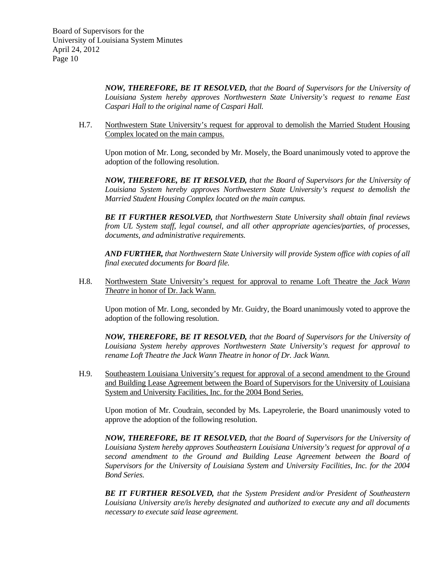*NOW, THEREFORE, BE IT RESOLVED, that the Board of Supervisors for the University of Louisiana System hereby approves Northwestern State University's request to rename East Caspari Hall to the original name of Caspari Hall.* 

 H.7. Northwestern State University's request for approval to demolish the Married Student Housing Complex located on the main campus.

 Upon motion of Mr. Long, seconded by Mr. Mosely, the Board unanimously voted to approve the adoption of the following resolution.

 *NOW, THEREFORE, BE IT RESOLVED, that the Board of Supervisors for the University of Louisiana System hereby approves Northwestern State University's request to demolish the Married Student Housing Complex located on the main campus.* 

 *BE IT FURTHER RESOLVED, that Northwestern State University shall obtain final reviews from UL System staff, legal counsel, and all other appropriate agencies/parties, of processes, documents, and administrative requirements.* 

 *AND FURTHER, that Northwestern State University will provide System office with copies of all final executed documents for Board file.* 

 H.8. Northwestern State University's request for approval to rename Loft Theatre the *Jack Wann Theatre* in honor of Dr. Jack Wann.

 Upon motion of Mr. Long, seconded by Mr. Guidry, the Board unanimously voted to approve the adoption of the following resolution.

 *NOW, THEREFORE, BE IT RESOLVED, that the Board of Supervisors for the University of Louisiana System hereby approves Northwestern State University's request for approval to rename Loft Theatre the Jack Wann Theatre in honor of Dr. Jack Wann.* 

 H.9. Southeastern Louisiana University's request for approval of a second amendment to the Ground and Building Lease Agreement between the Board of Supervisors for the University of Louisiana System and University Facilities, Inc. for the 2004 Bond Series.

 Upon motion of Mr. Coudrain, seconded by Ms. Lapeyrolerie, the Board unanimously voted to approve the adoption of the following resolution.

 *NOW, THEREFORE, BE IT RESOLVED, that the Board of Supervisors for the University of Louisiana System hereby approves Southeastern Louisiana University's request for approval of a second amendment to the Ground and Building Lease Agreement between the Board of Supervisors for the University of Louisiana System and University Facilities, Inc. for the 2004 Bond Series.* 

 *BE IT FURTHER RESOLVED, that the System President and/or President of Southeastern Louisiana University are/is hereby designated and authorized to execute any and all documents necessary to execute said lease agreement.*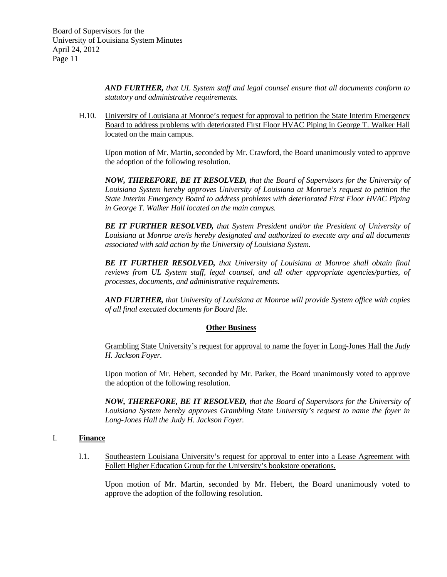*AND FURTHER, that UL System staff and legal counsel ensure that all documents conform to statutory and administrative requirements.* 

 H.10. University of Louisiana at Monroe's request for approval to petition the State Interim Emergency Board to address problems with deteriorated First Floor HVAC Piping in George T. Walker Hall located on the main campus.

 Upon motion of Mr. Martin, seconded by Mr. Crawford, the Board unanimously voted to approve the adoption of the following resolution.

*NOW, THEREFORE, BE IT RESOLVED, that the Board of Supervisors for the University of Louisiana System hereby approves University of Louisiana at Monroe's request to petition the State Interim Emergency Board to address problems with deteriorated First Floor HVAC Piping in George T. Walker Hall located on the main campus.* 

 *BE IT FURTHER RESOLVED, that System President and/or the President of University of Louisiana at Monroe are/is hereby designated and authorized to execute any and all documents associated with said action by the University of Louisiana System.* 

 *BE IT FURTHER RESOLVED, that University of Louisiana at Monroe shall obtain final reviews from UL System staff, legal counsel, and all other appropriate agencies/parties, of processes, documents, and administrative requirements.* 

 *AND FURTHER, that University of Louisiana at Monroe will provide System office with copies of all final executed documents for Board file.* 

# **Other Business**

 Grambling State University's request for approval to name the foyer in Long-Jones Hall the *Judy H. Jackson Foyer.* 

 Upon motion of Mr. Hebert, seconded by Mr. Parker, the Board unanimously voted to approve the adoption of the following resolution.

 *NOW, THEREFORE, BE IT RESOLVED, that the Board of Supervisors for the University of Louisiana System hereby approves Grambling State University's request to name the foyer in Long-Jones Hall the Judy H. Jackson Foyer.* 

# I. **Finance**

I.1. Southeastern Louisiana University's request for approval to enter into a Lease Agreement with Follett Higher Education Group for the University's bookstore operations.

Upon motion of Mr. Martin, seconded by Mr. Hebert, the Board unanimously voted to approve the adoption of the following resolution.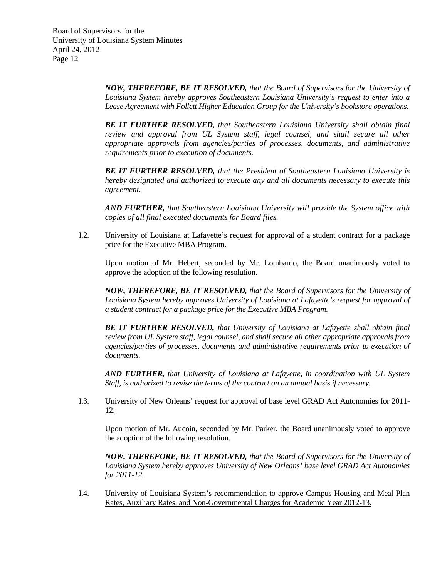*NOW, THEREFORE, BE IT RESOLVED, that the Board of Supervisors for the University of Louisiana System hereby approves Southeastern Louisiana University's request to enter into a Lease Agreement with Follett Higher Education Group for the University's bookstore operations.* 

*BE IT FURTHER RESOLVED, that Southeastern Louisiana University shall obtain final review and approval from UL System staff, legal counsel, and shall secure all other appropriate approvals from agencies/parties of processes, documents, and administrative requirements prior to execution of documents.* 

*BE IT FURTHER RESOLVED, that the President of Southeastern Louisiana University is hereby designated and authorized to execute any and all documents necessary to execute this agreement.* 

*AND FURTHER, that Southeastern Louisiana University will provide the System office with copies of all final executed documents for Board files.* 

I.2. University of Louisiana at Lafayette's request for approval of a student contract for a package price for the Executive MBA Program.

 Upon motion of Mr. Hebert, seconded by Mr. Lombardo, the Board unanimously voted to approve the adoption of the following resolution.

*NOW, THEREFORE, BE IT RESOLVED, that the Board of Supervisors for the University of Louisiana System hereby approves University of Louisiana at Lafayette's request for approval of a student contract for a package price for the Executive MBA Program.*

*BE IT FURTHER RESOLVED, that University of Louisiana at Lafayette shall obtain final review from UL System staff, legal counsel, and shall secure all other appropriate approvals from agencies/parties of processes, documents and administrative requirements prior to execution of documents.* 

*AND FURTHER, that University of Louisiana at Lafayette, in coordination with UL System Staff, is authorized to revise the terms of the contract on an annual basis if necessary.* 

I.3. University of New Orleans' request for approval of base level GRAD Act Autonomies for 2011- 12.

 Upon motion of Mr. Aucoin, seconded by Mr. Parker, the Board unanimously voted to approve the adoption of the following resolution.

*NOW, THEREFORE, BE IT RESOLVED, that the Board of Supervisors for the University of Louisiana System hereby approves University of New Orleans' base level GRAD Act Autonomies for 2011-12.* 

I.4. University of Louisiana System's recommendation to approve Campus Housing and Meal Plan Rates, Auxiliary Rates, and Non-Governmental Charges for Academic Year 2012-13.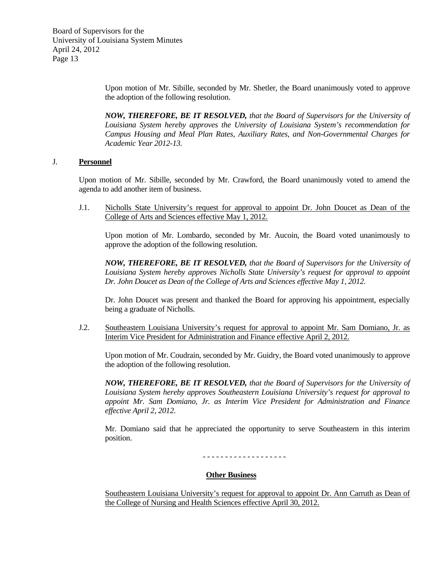> Upon motion of Mr. Sibille, seconded by Mr. Shetler, the Board unanimously voted to approve the adoption of the following resolution.

> *NOW, THEREFORE, BE IT RESOLVED, that the Board of Supervisors for the University of Louisiana System hereby approves the University of Louisiana System's recommendation for Campus Housing and Meal Plan Rates, Auxiliary Rates, and Non-Governmental Charges for Academic Year 2012-13.*

## J. **Personnel**

Upon motion of Mr. Sibille, seconded by Mr. Crawford, the Board unanimously voted to amend the agenda to add another item of business.

J.1. Nicholls State University's request for approval to appoint Dr. John Doucet as Dean of the College of Arts and Sciences effective May 1, 2012.

 Upon motion of Mr. Lombardo, seconded by Mr. Aucoin, the Board voted unanimously to approve the adoption of the following resolution.

*NOW, THEREFORE, BE IT RESOLVED, that the Board of Supervisors for the University of Louisiana System hereby approves Nicholls State University's request for approval to appoint Dr. John Doucet as Dean of the College of Arts and Sciences effective May 1, 2012.*

 Dr. John Doucet was present and thanked the Board for approving his appointment, especially being a graduate of Nicholls.

J.2. Southeastern Louisiana University's request for approval to appoint Mr. Sam Domiano, Jr. as Interim Vice President for Administration and Finance effective April 2, 2012.

 Upon motion of Mr. Coudrain, seconded by Mr. Guidry, the Board voted unanimously to approve the adoption of the following resolution.

*NOW, THEREFORE, BE IT RESOLVED, that the Board of Supervisors for the University of Louisiana System hereby approves Southeastern Louisiana University's request for approval to appoint Mr. Sam Domiano, Jr. as Interim Vice President for Administration and Finance effective April 2, 2012.* 

 Mr. Domiano said that he appreciated the opportunity to serve Southeastern in this interim position.

- - - - - - - - - - - - - - - - - - -

# **Other Business**

 Southeastern Louisiana University's request for approval to appoint Dr. Ann Carruth as Dean of the College of Nursing and Health Sciences effective April 30, 2012.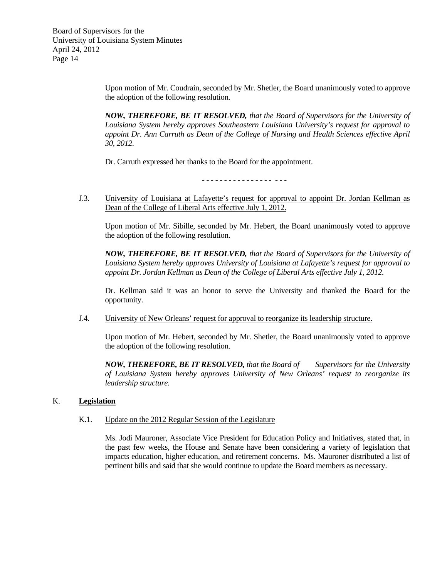Upon motion of Mr. Coudrain, seconded by Mr. Shetler, the Board unanimously voted to approve the adoption of the following resolution.

*NOW, THEREFORE, BE IT RESOLVED, that the Board of Supervisors for the University of Louisiana System hereby approves Southeastern Louisiana University's request for approval to appoint Dr. Ann Carruth as Dean of the College of Nursing and Health Sciences effective April 30, 2012.* 

Dr. Carruth expressed her thanks to the Board for the appointment.

- - - - - - - - - - - - - - - - - - -

J.3. University of Louisiana at Lafayette's request for approval to appoint Dr. Jordan Kellman as Dean of the College of Liberal Arts effective July 1, 2012.

 Upon motion of Mr. Sibille, seconded by Mr. Hebert, the Board unanimously voted to approve the adoption of the following resolution.

*NOW, THEREFORE, BE IT RESOLVED, that the Board of Supervisors for the University of Louisiana System hereby approves University of Louisiana at Lafayette's request for approval to appoint Dr. Jordan Kellman as Dean of the College of Liberal Arts effective July 1, 2012.* 

 Dr. Kellman said it was an honor to serve the University and thanked the Board for the opportunity.

J.4. University of New Orleans' request for approval to reorganize its leadership structure.

 Upon motion of Mr. Hebert, seconded by Mr. Shetler, the Board unanimously voted to approve the adoption of the following resolution.

*NOW, THEREFORE, BE IT RESOLVED, that the Board of Supervisors for the University of Louisiana System hereby approves University of New Orleans' request to reorganize its leadership structure.* 

# K. **Legislation**

#### K.1. Update on the 2012 Regular Session of the Legislature

 Ms. Jodi Mauroner, Associate Vice President for Education Policy and Initiatives, stated that, in the past few weeks, the House and Senate have been considering a variety of legislation that impacts education, higher education, and retirement concerns. Ms. Mauroner distributed a list of pertinent bills and said that she would continue to update the Board members as necessary.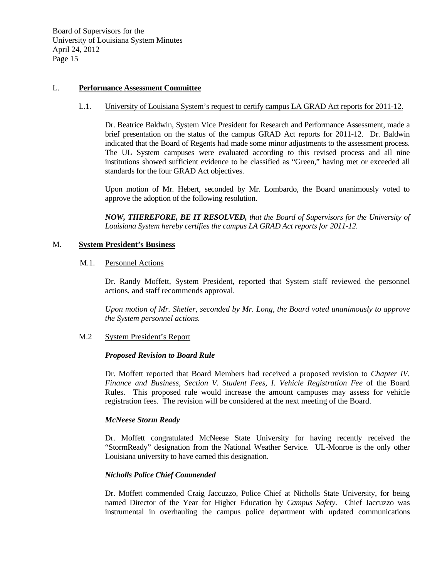# L. **Performance Assessment Committee**

#### L.1. University of Louisiana System's request to certify campus LA GRAD Act reports for 2011-12.

 Dr. Beatrice Baldwin, System Vice President for Research and Performance Assessment, made a brief presentation on the status of the campus GRAD Act reports for 2011-12. Dr. Baldwin indicated that the Board of Regents had made some minor adjustments to the assessment process. The UL System campuses were evaluated according to this revised process and all nine institutions showed sufficient evidence to be classified as "Green," having met or exceeded all standards for the four GRAD Act objectives.

Upon motion of Mr. Hebert, seconded by Mr. Lombardo, the Board unanimously voted to approve the adoption of the following resolution.

*NOW, THEREFORE, BE IT RESOLVED, that the Board of Supervisors for the University of Louisiana System hereby certifies the campus LA GRAD Act reports for 2011-12.*

#### M. **System President's Business**

#### M.1. Personnel Actions

 Dr. Randy Moffett, System President, reported that System staff reviewed the personnel actions, and staff recommends approval.

*Upon motion of Mr. Shetler, seconded by Mr. Long, the Board voted unanimously to approve the System personnel actions.*

## M.2 System President's Report

#### *Proposed Revision to Board Rule*

Dr. Moffett reported that Board Members had received a proposed revision to *Chapter IV. Finance and Business, Section V. Student Fees, I. Vehicle Registration Fee* of the Board Rules. This proposed rule would increase the amount campuses may assess for vehicle registration fees. The revision will be considered at the next meeting of the Board.

#### *McNeese Storm Ready*

Dr. Moffett congratulated McNeese State University for having recently received the "StormReady" designation from the National Weather Service. UL-Monroe is the only other Louisiana university to have earned this designation.

#### *Nicholls Police Chief Commended*

Dr. Moffett commended Craig Jaccuzzo, Police Chief at Nicholls State University, for being named Director of the Year for Higher Education by *Campus Safety*. Chief Jaccuzzo was instrumental in overhauling the campus police department with updated communications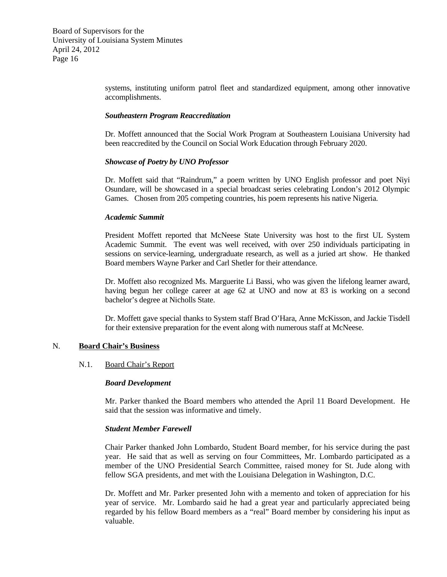systems, instituting uniform patrol fleet and standardized equipment, among other innovative accomplishments.

#### *Southeastern Program Reaccreditation*

Dr. Moffett announced that the Social Work Program at Southeastern Louisiana University had been reaccredited by the Council on Social Work Education through February 2020.

## *Showcase of Poetry by UNO Professor*

Dr. Moffett said that "Raindrum," a poem written by UNO English professor and poet Niyi Osundare, will be showcased in a special broadcast series celebrating London's 2012 Olympic Games. Chosen from 205 competing countries, his poem represents his native Nigeria.

## *Academic Summit*

President Moffett reported that McNeese State University was host to the first UL System Academic Summit. The event was well received, with over 250 individuals participating in sessions on service-learning, undergraduate research, as well as a juried art show. He thanked Board members Wayne Parker and Carl Shetler for their attendance.

Dr. Moffett also recognized Ms. Marguerite Li Bassi, who was given the lifelong learner award, having begun her college career at age 62 at UNO and now at 83 is working on a second bachelor's degree at Nicholls State.

Dr. Moffett gave special thanks to System staff Brad O'Hara, Anne McKisson, and Jackie Tisdell for their extensive preparation for the event along with numerous staff at McNeese.

# N. **Board Chair's Business**

# N.1. Board Chair's Report

#### *Board Development*

Mr. Parker thanked the Board members who attended the April 11 Board Development. He said that the session was informative and timely.

# *Student Member Farewell*

Chair Parker thanked John Lombardo, Student Board member, for his service during the past year. He said that as well as serving on four Committees, Mr. Lombardo participated as a member of the UNO Presidential Search Committee, raised money for St. Jude along with fellow SGA presidents, and met with the Louisiana Delegation in Washington, D.C.

Dr. Moffett and Mr. Parker presented John with a memento and token of appreciation for his year of service. Mr. Lombardo said he had a great year and particularly appreciated being regarded by his fellow Board members as a "real" Board member by considering his input as valuable.